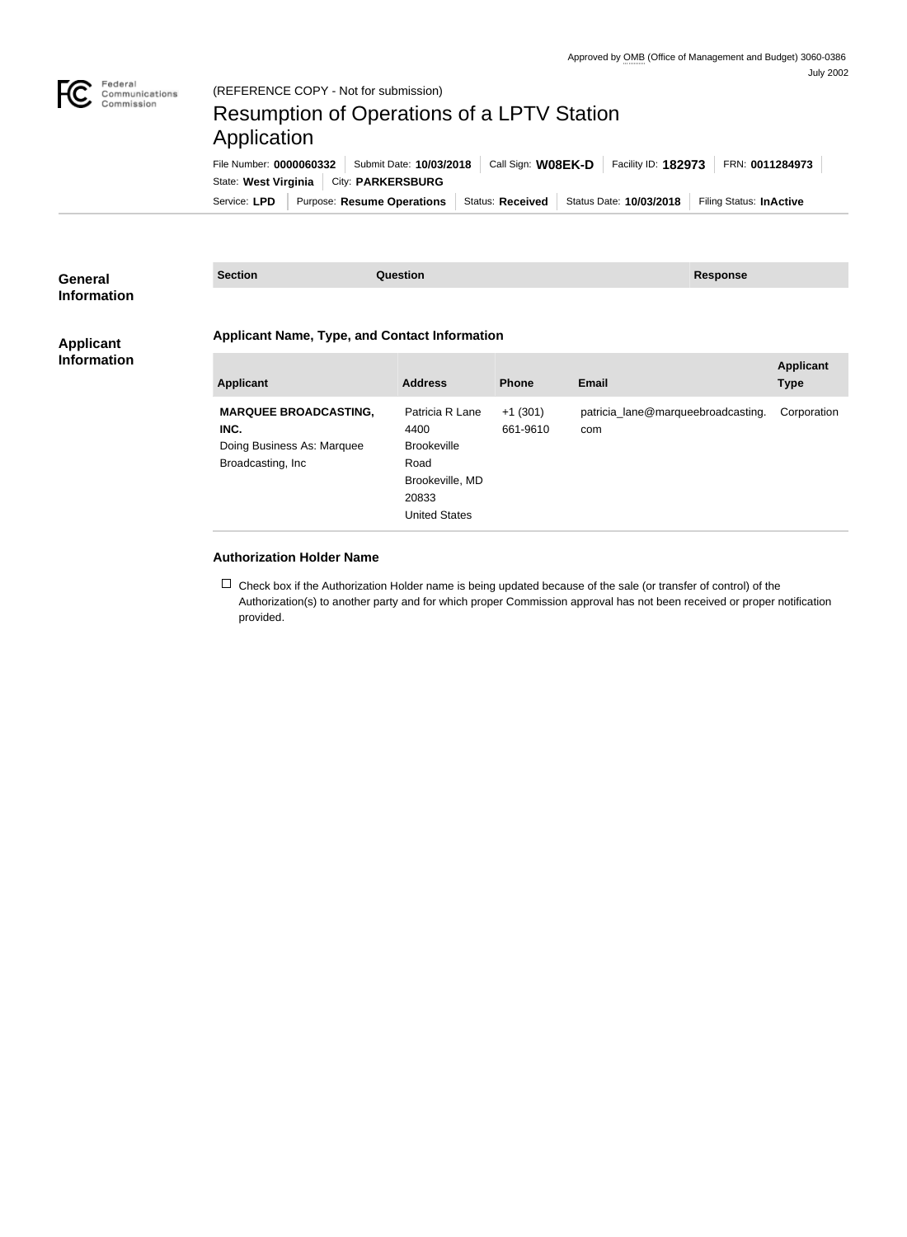

## (REFERENCE COPY - Not for submission)

## Resumption of Operations of a LPTV Station Application

Service: LPD | Purpose: Resume Operations | Status: Received | Status Date: 10/03/2018 | Filing Status: InActive State: West Virginia | City: PARKERSBURG File Number: **0000060332** Submit Date: **10/03/2018** Call Sign: **W08EK-D** Facility ID: **182973** FRN: **0011284973**

| <b>General</b><br><b>Information</b>   | <b>Section</b>                                                                           | <b>Question</b>                                                                                           |                       | <b>Response</b>                           |                                 |  |
|----------------------------------------|------------------------------------------------------------------------------------------|-----------------------------------------------------------------------------------------------------------|-----------------------|-------------------------------------------|---------------------------------|--|
| <b>Applicant</b><br><b>Information</b> | <b>Applicant Name, Type, and Contact Information</b>                                     |                                                                                                           |                       |                                           |                                 |  |
|                                        | <b>Applicant</b>                                                                         | <b>Address</b>                                                                                            | <b>Phone</b>          | <b>Email</b>                              | <b>Applicant</b><br><b>Type</b> |  |
|                                        | <b>MARQUEE BROADCASTING,</b><br>INC.<br>Doing Business As: Marquee<br>Broadcasting, Inc. | Patricia R Lane<br>4400<br><b>Brookeville</b><br>Road<br>Brookeville, MD<br>20833<br><b>United States</b> | $+1(301)$<br>661-9610 | patricia_lane@marqueebroadcasting.<br>com | Corporation                     |  |

## **Authorization Holder Name**

 $\Box$  Check box if the Authorization Holder name is being updated because of the sale (or transfer of control) of the Authorization(s) to another party and for which proper Commission approval has not been received or proper notification provided.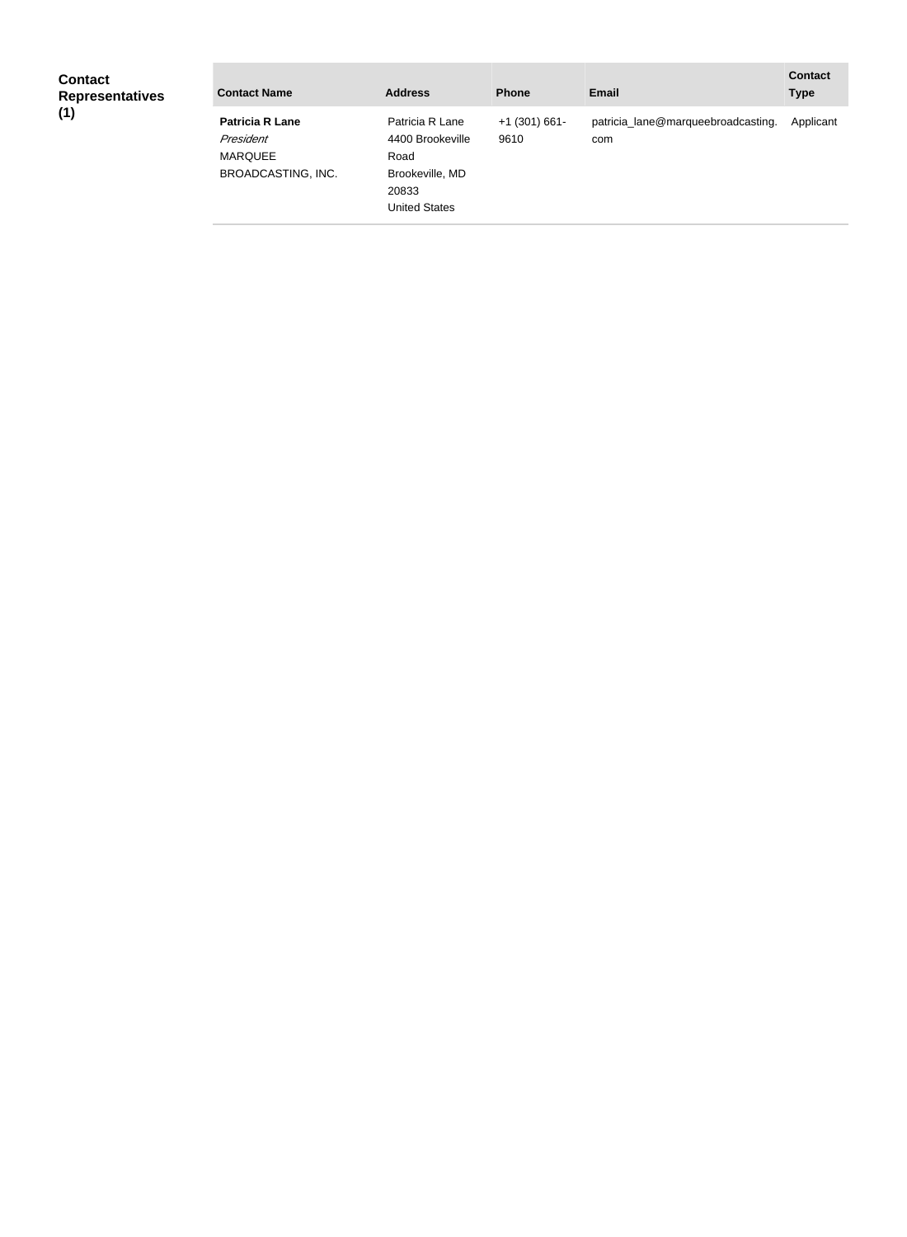| <b>Contact</b><br><b>Representatives</b> | <b>Contact Name</b>                                                                | <b>Address</b>                                                                                  | <b>Phone</b>            | <b>Email</b>                              | <b>Contact</b><br><b>Type</b> |
|------------------------------------------|------------------------------------------------------------------------------------|-------------------------------------------------------------------------------------------------|-------------------------|-------------------------------------------|-------------------------------|
| (1)                                      | <b>Patricia R Lane</b><br>President<br><b>MARQUEE</b><br><b>BROADCASTING, INC.</b> | Patricia R Lane<br>4400 Brookeville<br>Road<br>Brookeville, MD<br>20833<br><b>United States</b> | $+1$ (301) 661-<br>9610 | patricia_lane@marqueebroadcasting.<br>com | Applicant                     |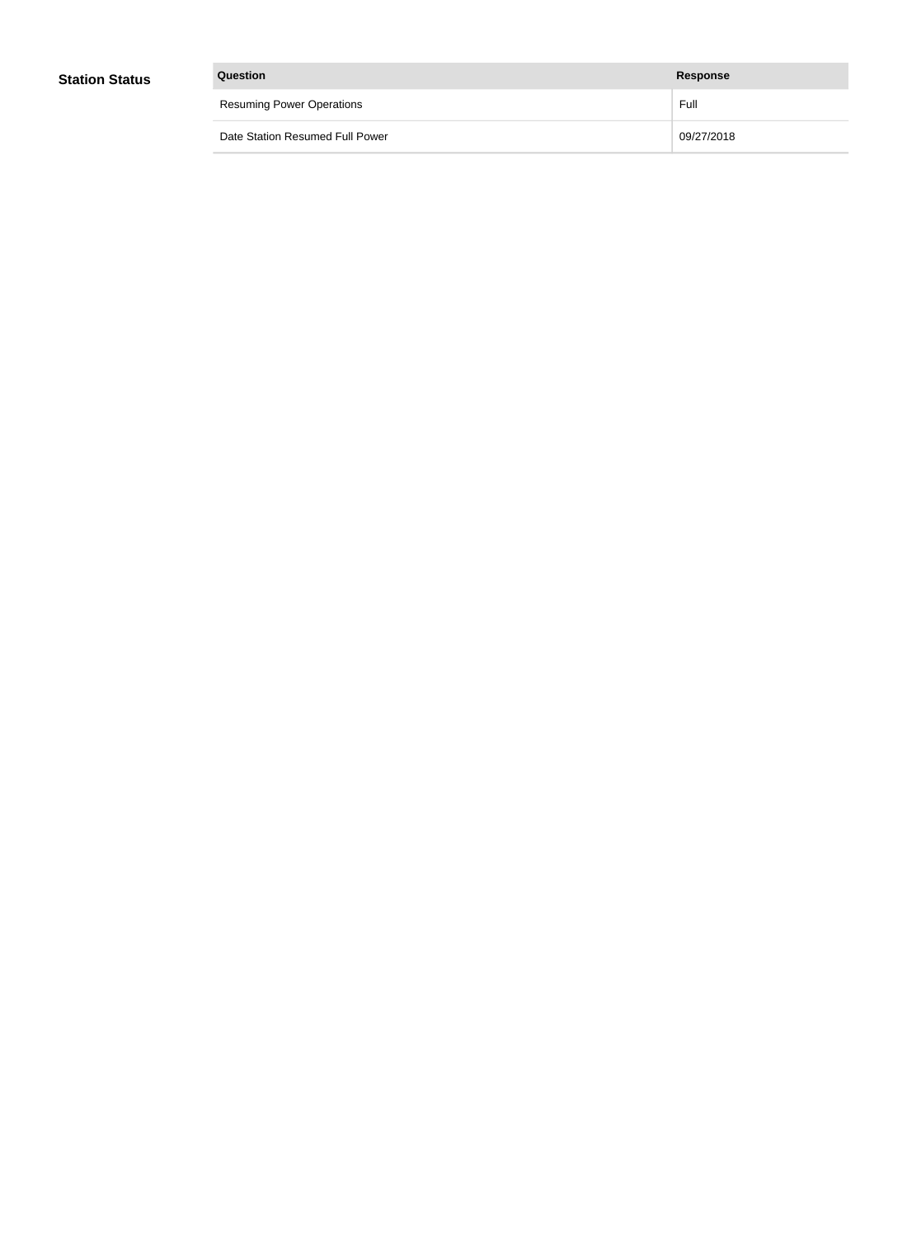| Question                         | <b>Response</b> |
|----------------------------------|-----------------|
| <b>Resuming Power Operations</b> | Full            |
| Date Station Resumed Full Power  | 09/27/2018      |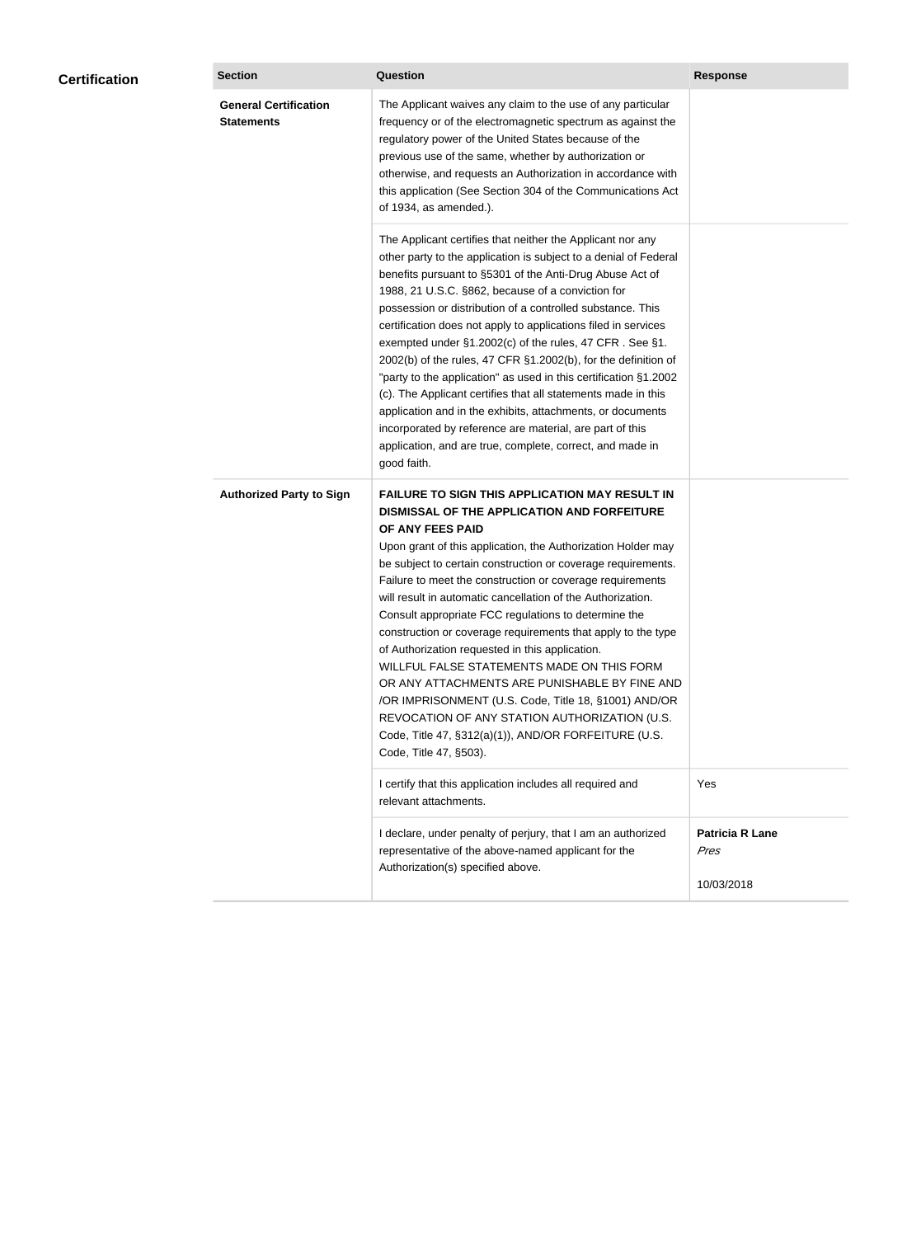| <b>Certification</b> | <b>Section</b>                                    | Question                                                                                                                                                                                                                                                                                                                                                                                                                                                                                                                                                                                                                                                                                                                                                                                                                                                  | <b>Response</b>                              |
|----------------------|---------------------------------------------------|-----------------------------------------------------------------------------------------------------------------------------------------------------------------------------------------------------------------------------------------------------------------------------------------------------------------------------------------------------------------------------------------------------------------------------------------------------------------------------------------------------------------------------------------------------------------------------------------------------------------------------------------------------------------------------------------------------------------------------------------------------------------------------------------------------------------------------------------------------------|----------------------------------------------|
|                      | <b>General Certification</b><br><b>Statements</b> | The Applicant waives any claim to the use of any particular<br>frequency or of the electromagnetic spectrum as against the<br>regulatory power of the United States because of the<br>previous use of the same, whether by authorization or<br>otherwise, and requests an Authorization in accordance with<br>this application (See Section 304 of the Communications Act<br>of 1934, as amended.).                                                                                                                                                                                                                                                                                                                                                                                                                                                       |                                              |
|                      |                                                   | The Applicant certifies that neither the Applicant nor any<br>other party to the application is subject to a denial of Federal<br>benefits pursuant to §5301 of the Anti-Drug Abuse Act of<br>1988, 21 U.S.C. §862, because of a conviction for<br>possession or distribution of a controlled substance. This<br>certification does not apply to applications filed in services<br>exempted under §1.2002(c) of the rules, 47 CFR. See §1.<br>2002(b) of the rules, 47 CFR §1.2002(b), for the definition of<br>"party to the application" as used in this certification §1.2002<br>(c). The Applicant certifies that all statements made in this<br>application and in the exhibits, attachments, or documents<br>incorporated by reference are material, are part of this<br>application, and are true, complete, correct, and made in<br>good faith.   |                                              |
|                      | <b>Authorized Party to Sign</b>                   | <b>FAILURE TO SIGN THIS APPLICATION MAY RESULT IN</b><br>DISMISSAL OF THE APPLICATION AND FORFEITURE<br>OF ANY FEES PAID<br>Upon grant of this application, the Authorization Holder may<br>be subject to certain construction or coverage requirements.<br>Failure to meet the construction or coverage requirements<br>will result in automatic cancellation of the Authorization.<br>Consult appropriate FCC regulations to determine the<br>construction or coverage requirements that apply to the type<br>of Authorization requested in this application.<br>WILLFUL FALSE STATEMENTS MADE ON THIS FORM<br>OR ANY ATTACHMENTS ARE PUNISHABLE BY FINE AND<br>/OR IMPRISONMENT (U.S. Code, Title 18, §1001) AND/OR<br>REVOCATION OF ANY STATION AUTHORIZATION (U.S.<br>Code, Title 47, §312(a)(1)), AND/OR FORFEITURE (U.S.<br>Code, Title 47, §503). |                                              |
|                      |                                                   | I certify that this application includes all required and<br>relevant attachments.                                                                                                                                                                                                                                                                                                                                                                                                                                                                                                                                                                                                                                                                                                                                                                        | Yes                                          |
|                      |                                                   | I declare, under penalty of perjury, that I am an authorized<br>representative of the above-named applicant for the<br>Authorization(s) specified above.                                                                                                                                                                                                                                                                                                                                                                                                                                                                                                                                                                                                                                                                                                  | <b>Patricia R Lane</b><br>Pres<br>10/03/2018 |